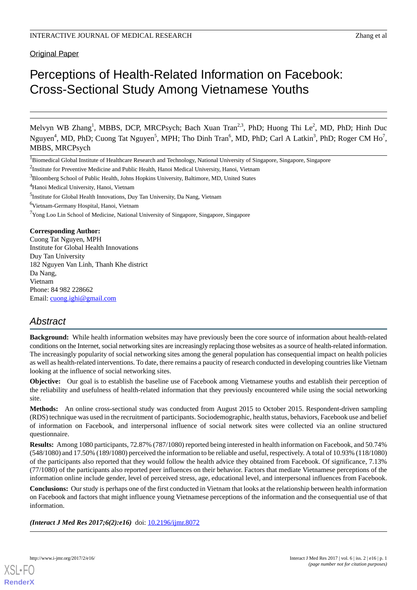Original Paper

# Perceptions of Health-Related Information on Facebook: Cross-Sectional Study Among Vietnamese Youths

Melvyn WB Zhang<sup>1</sup>, MBBS, DCP, MRCPsych; Bach Xuan Tran<sup>2,3</sup>, PhD; Huong Thi Le<sup>2</sup>, MD, PhD; Hinh Duc Nguyen<sup>4</sup>, MD, PhD; Cuong Tat Nguyen<sup>5</sup>, MPH; Tho Dinh Tran<sup>6</sup>, MD, PhD; Carl A Latkin<sup>3</sup>, PhD; Roger CM Ho<sup>7</sup>, MBBS, MRCPsych

<sup>2</sup>Institute for Preventive Medicine and Public Health, Hanoi Medical University, Hanoi, Vietnam

 $7$ Yong Loo Lin School of Medicine, National University of Singapore, Singapore, Singapore

### **Corresponding Author:**

Cuong Tat Nguyen, MPH Institute for Global Health Innovations Duy Tan University 182 Nguyen Van Linh, Thanh Khe district Da Nang, Vietnam Phone: 84 982 228662 Email: [cuong.ighi@gmail.com](mailto:cuong.ighi@gmail.com)

# *Abstract*

**Background:** While health information websites may have previously been the core source of information about health-related conditions on the Internet, social networking sites are increasingly replacing those websites as a source of health-related information. The increasingly popularity of social networking sites among the general population has consequential impact on health policies as well as health-related interventions. To date, there remains a paucity of research conducted in developing countries like Vietnam looking at the influence of social networking sites.

**Objective:** Our goal is to establish the baseline use of Facebook among Vietnamese youths and establish their perception of the reliability and usefulness of health-related information that they previously encountered while using the social networking site.

**Methods:** An online cross-sectional study was conducted from August 2015 to October 2015. Respondent-driven sampling (RDS) technique was used in the recruitment of participants. Sociodemographic, health status, behaviors, Facebook use and belief of information on Facebook, and interpersonal influence of social network sites were collected via an online structured questionnaire.

**Results:** Among 1080 participants, 72.87% (787/1080) reported being interested in health information on Facebook, and 50.74% (548/1080) and 17.50% (189/1080) perceived the information to be reliable and useful, respectively. A total of 10.93% (118/1080) of the participants also reported that they would follow the health advice they obtained from Facebook. Of significance, 7.13% (77/1080) of the participants also reported peer influences on their behavior. Factors that mediate Vietnamese perceptions of the information online include gender, level of perceived stress, age, educational level, and interpersonal influences from Facebook.

**Conclusions:** Our study is perhaps one of the first conducted in Vietnam that looks at the relationship between health information on Facebook and factors that might influence young Vietnamese perceptions of the information and the consequential use of that information.

*(Interact J Med Res 2017;6(2):e16)* doi:  $10.2196/ijmr.8072$ 



<sup>&</sup>lt;sup>1</sup>Biomedical Global Institute of Healthcare Research and Technology, National University of Singapore, Singapore, Singapore

<sup>3</sup>Bloomberg School of Public Health, Johns Hopkins University, Baltimore, MD, United States

<sup>&</sup>lt;sup>4</sup>Hanoi Medical University, Hanoi, Vietnam

<sup>&</sup>lt;sup>5</sup>Institute for Global Health Innovations, Duy Tan University, Da Nang, Vietnam

<sup>6</sup>Vietnam-Germany Hospital, Hanoi, Vietnam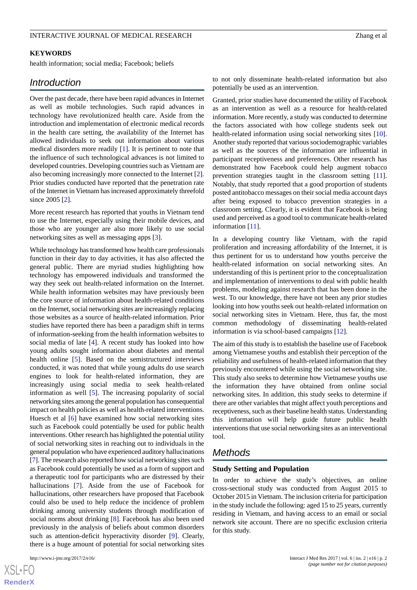## **KEYWORDS**

health information; social media; Facebook; beliefs

# *Introduction*

Over the past decade, there have been rapid advances in Internet as well as mobile technologies. Such rapid advances in technology have revolutionized health care. Aside from the introduction and implementation of electronic medical records in the health care setting, the availability of the Internet has allowed individuals to seek out information about various medical disorders more readily [\[1\]](#page-8-0). It is pertinent to note that the influence of such technological advances is not limited to developed countries. Developing countries such as Vietnam are also becoming increasingly more connected to the Internet [[2\]](#page-8-1). Prior studies conducted have reported that the penetration rate of the Internet in Vietnam has increased approximately threefold since 2005 [\[2](#page-8-1)].

More recent research has reported that youths in Vietnam tend to use the Internet, especially using their mobile devices, and those who are younger are also more likely to use social networking sites as well as messaging apps [\[3](#page-8-2)].

While technology has transformed how health care professionals function in their day to day activities, it has also affected the general public. There are myriad studies highlighting how technology has empowered individuals and transformed the way they seek out health-related information on the Internet. While health information websites may have previously been the core source of information about health-related conditions on the Internet, social networking sites are increasingly replacing those websites as a source of health-related information. Prior studies have reported there has been a paradigm shift in terms of information-seeking from the health information websites to social media of late [\[4](#page-8-3)]. A recent study has looked into how young adults sought information about diabetes and mental health online [\[5](#page-8-4)]. Based on the semistructured interviews conducted, it was noted that while young adults do use search engines to look for health-related information, they are increasingly using social media to seek health-related information as well [[5\]](#page-8-4). The increasing popularity of social networking sites among the general population has consequential impact on health policies as well as health-related interventions. Huesch et al [\[6](#page-8-5)] have examined how social networking sites such as Facebook could potentially be used for public health interventions. Other research has highlighted the potential utility of social networking sites in reaching out to individuals in the general population who have experienced auditory hallucinations [[7\]](#page-8-6). The research also reported how social networking sites such as Facebook could potentially be used as a form of support and a therapeutic tool for participants who are distressed by their hallucinations [\[7](#page-8-6)]. Aside from the use of Facebook for hallucinations, other researchers have proposed that Facebook could also be used to help reduce the incidence of problem drinking among university students through modification of social norms about drinking [[8](#page-8-7)]. Facebook has also been used previously in the analysis of beliefs about common disorders such as attention-deficit hyperactivity disorder [[9\]](#page-8-8). Clearly, there is a huge amount of potential for social networking sites

[XSL](http://www.w3.org/Style/XSL)•FO **[RenderX](http://www.renderx.com/)** to not only disseminate health-related information but also potentially be used as an intervention.

Granted, prior studies have documented the utility of Facebook as an intervention as well as a resource for health-related information. More recently, a study was conducted to determine the factors associated with how college students seek out health-related information using social networking sites [[10\]](#page-8-9). Another study reported that various sociodemographic variables as well as the sources of the information are influential in participant receptiveness and preferences. Other research has demonstrated how Facebook could help augment tobacco prevention strategies taught in the classroom setting [[11\]](#page-8-10). Notably, that study reported that a good proportion of students posted antitobacco messages on their social media account days after being exposed to tobacco prevention strategies in a classroom setting. Clearly, it is evident that Facebook is being used and perceived as a good tool to communicate health-related information [[11\]](#page-8-10).

In a developing country like Vietnam, with the rapid proliferation and increasing affordability of the Internet, it is thus pertinent for us to understand how youths perceive the health-related information on social networking sites. An understanding of this is pertinent prior to the conceptualization and implementation of interventions to deal with public health problems, modeling against research that has been done in the west. To our knowledge, there have not been any prior studies looking into how youths seek out health-related information on social networking sites in Vietnam. Here, thus far, the most common methodology of disseminating health-related information is via school-based campaigns [[12\]](#page-8-11).

The aim of this study is to establish the baseline use of Facebook among Vietnamese youths and establish their perception of the reliability and usefulness of health-related information that they previously encountered while using the social networking site. This study also seeks to determine how Vietnamese youths use the information they have obtained from online social networking sites. In addition, this study seeks to determine if there are other variables that might affect youth perceptions and receptiveness, such as their baseline health status. Understanding this information will help guide future public health interventions that use social networking sites as an interventional tool.

# *Methods*

#### **Study Setting and Population**

In order to achieve the study's objectives, an online cross-sectional study was conducted from August 2015 to October 2015 in Vietnam. The inclusion criteria for participation in the study include the following: aged 15 to 25 years, currently residing in Vietnam, and having access to an email or social network site account. There are no specific exclusion criteria for this study.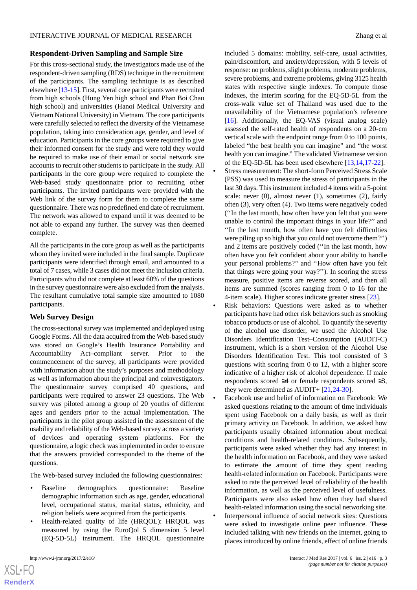# **Respondent-Driven Sampling and Sample Size**

For this cross-sectional study, the investigators made use of the respondent-driven sampling (RDS) technique in the recruitment of the participants. The sampling technique is as described elsewhere [[13-](#page-8-12)[15\]](#page-8-13). First, several core participants were recruited from high schools (Hung Yen high school and Phan Boi Chau high school) and universities (Hanoi Medical University and Vietnam National University) in Vietnam. The core participants were carefully selected to reflect the diversity of the Vietnamese population, taking into consideration age, gender, and level of education. Participants in the core groups were required to give their informed consent for the study and were told they would be required to make use of their email or social network site accounts to recruit other students to participate in the study. All participants in the core group were required to complete the Web-based study questionnaire prior to recruiting other participants. The invited participants were provided with the Web link of the survey form for them to complete the same questionnaire. There was no predefined end date of recruitment. The network was allowed to expand until it was deemed to be not able to expand any further. The survey was then deemed complete.

All the participants in the core group as well as the participants whom they invited were included in the final sample. Duplicate participants were identified through email, and amounted to a total of 7 cases, while 3 cases did not meet the inclusion criteria. Participants who did not complete at least 60% of the questions in the survey questionnaire were also excluded from the analysis. The resultant cumulative total sample size amounted to 1080 participants.

# **Web Survey Design**

The cross-sectional survey was implemented and deployed using Google Forms. All the data acquired from the Web-based study was stored on Google's Health Insurance Portability and Accountability Act–compliant server. Prior to the commencement of the survey, all participants were provided with information about the study's purposes and methodology as well as information about the principal and coinvestigators. The questionnaire survey comprised 40 questions, and participants were required to answer 23 questions. The Web survey was piloted among a group of 20 youths of different ages and genders prior to the actual implementation. The participants in the pilot group assisted in the assessment of the usability and reliability of the Web-based survey across a variety of devices and operating system platforms. For the questionnaire, a logic check was implemented in order to ensure that the answers provided corresponded to the theme of the questions.

The Web-based survey included the following questionnaires:

- Baseline demographics questionnaire: Baseline demographic information such as age, gender, educational level, occupational status, marital status, ethnicity, and religion beliefs were acquired from the participants.
- Health-related quality of life (HRQOL): HRQOL was measured by using the EuroQol 5 dimension 5 level (EQ-5D-5L) instrument. The HRQOL questionnaire

included 5 domains: mobility, self-care, usual activities, pain/discomfort, and anxiety/depression, with 5 levels of response: no problems, slight problems, moderate problems, severe problems, and extreme problems, giving 3125 health states with respective single indexes. To compute those indexes, the interim scoring for the EQ-5D-5L from the cross-walk value set of Thailand was used due to the unavailability of the Vietnamese population's reference [[16\]](#page-8-14). Additionally, the EQ-VAS (visual analog scale) assessed the self-rated health of respondents on a 20-cm vertical scale with the endpoint range from 0 to 100 points, labeled "the best health you can imagine" and "the worst health you can imagine." The validated Vietnamese version of the EQ-5D-5L has been used elsewhere [[13,](#page-8-12)[14](#page-8-15),[17-](#page-8-16)[22\]](#page-9-0).

- Stress measurement: The short-form Perceived Stress Scale (PSS) was used to measure the stress of participants in the last 30 days. This instrument included 4 items with a 5-point scale: never (0), almost never (1), sometimes (2), fairly often (3), very often (4). Two items were negatively coded (''In the last month, how often have you felt that you were unable to control the important things in your life?'' and ''In the last month, how often have you felt difficulties were piling up so high that you could not overcome them?'') and 2 items are positively coded (''In the last month, how often have you felt confident about your ability to handle your personal problems?'' and ''How often have you felt that things were going your way?''). In scoring the stress measure, positive items are reverse scored, and then all items are summed (scores ranging from 0 to 16 for the 4-item scale). Higher scores indicate greater stress [[23\]](#page-9-1).
- Risk behaviors: Questions were asked as to whether participants have had other risk behaviors such as smoking tobacco products or use of alcohol. To quantify the severity of the alcohol use disorder, we used the Alcohol Use Disorders Identification Test–Consumption (AUDIT-C) instrument, which is a short version of the Alcohol Use Disorders Identification Test. This tool consisted of 3 questions with scoring from 0 to 12, with a higher score indicative of a higher risk of alcohol dependence. If male respondents scored ≥4 or female respondents scored ≥3, they were determined as AUDIT+ [\[21](#page-8-17),[24](#page-9-2)[-30](#page-9-3)].

• Facebook use and belief of information on Facebook: We asked questions relating to the amount of time individuals spent using Facebook on a daily basis, as well as their primary activity on Facebook. In addition, we asked how participants usually obtained information about medical conditions and health-related conditions. Subsequently, participants were asked whether they had any interest in the health information on Facebook, and they were tasked to estimate the amount of time they spent reading health-related information on Facebook. Participants were asked to rate the perceived level of reliability of the health information, as well as the perceived level of usefulness. Participants were also asked how often they had shared health-related information using the social networking site.

• Interpersonal influence of social network sites: Questions were asked to investigate online peer influence. These included talking with new friends on the Internet, going to places introduced by online friends, effect of online friends

 $XSI - F($ **[RenderX](http://www.renderx.com/)**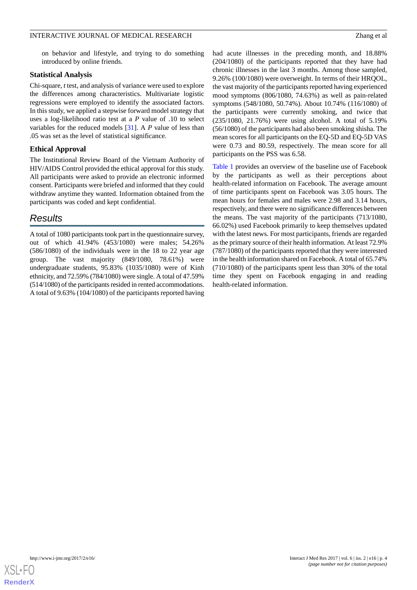on behavior and lifestyle, and trying to do something introduced by online friends.

## **Statistical Analysis**

Chi-square, *t*test, and analysis of variance were used to explore the differences among characteristics. Multivariate logistic regressions were employed to identify the associated factors. In this study, we applied a stepwise forward model strategy that uses a log-likelihood ratio test at a *P* value of .10 to select variables for the reduced models [[31\]](#page-9-4). A *P* value of less than .05 was set as the level of statistical significance.

# **Ethical Approval**

The Institutional Review Board of the Vietnam Authority of HIV/AIDS Control provided the ethical approval for this study. All participants were asked to provide an electronic informed consent. Participants were briefed and informed that they could withdraw anytime they wanted. Information obtained from the participants was coded and kept confidential.

# *Results*

A total of 1080 participants took part in the questionnaire survey, out of which 41.94% (453/1080) were males; 54.26% (586/1080) of the individuals were in the 18 to 22 year age group. The vast majority (849/1080, 78.61%) were undergraduate students, 95.83% (1035/1080) were of Kinh ethnicity, and 72.59% (784/1080) were single. A total of 47.59% (514/1080) of the participants resided in rented accommodations. A total of 9.63% (104/1080) of the participants reported having

had acute illnesses in the preceding month, and 18.88% (204/1080) of the participants reported that they have had chronic illnesses in the last 3 months. Among those sampled, 9.26% (100/1080) were overweight. In terms of their HRQOL, the vast majority of the participants reported having experienced mood symptoms (806/1080, 74.63%) as well as pain-related symptoms (548/1080, 50.74%). About 10.74% (116/1080) of the participants were currently smoking, and twice that (235/1080, 21.76%) were using alcohol. A total of 5.19% (56/1080) of the participants had also been smoking shisha. The mean scores for all participants on the EQ-5D and EQ-5D VAS were 0.73 and 80.59, respectively. The mean score for all participants on the PSS was 6.58.

[Table 1](#page-4-0) provides an overview of the baseline use of Facebook by the participants as well as their perceptions about health-related information on Facebook. The average amount of time participants spent on Facebook was 3.05 hours. The mean hours for females and males were 2.98 and 3.14 hours, respectively, and there were no significance differences between the means. The vast majority of the participants (713/1080, 66.02%) used Facebook primarily to keep themselves updated with the latest news. For most participants, friends are regarded as the primary source of their health information. At least 72.9% (787/1080) of the participants reported that they were interested in the health information shared on Facebook. A total of 65.74% (710/1080) of the participants spent less than 30% of the total time they spent on Facebook engaging in and reading health-related information.

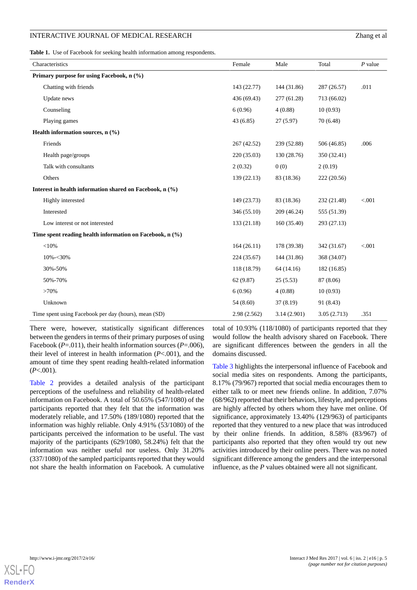<span id="page-4-0"></span>**Table 1.** Use of Facebook for seeking health information among respondents.

| Characteristics                                               | Female      | Male        | Total       | $P$ value |
|---------------------------------------------------------------|-------------|-------------|-------------|-----------|
| Primary purpose for using Facebook, n (%)                     |             |             |             |           |
| Chatting with friends                                         | 143 (22.77) | 144 (31.86) | 287 (26.57) | .011      |
| Update news                                                   | 436 (69.43) | 277 (61.28) | 713 (66.02) |           |
| Counseling                                                    | 6(0.96)     | 4(0.88)     | 10(0.93)    |           |
| Playing games                                                 | 43(6.85)    | 27(5.97)    | 70 (6.48)   |           |
| Health information sources, $n$ (%)                           |             |             |             |           |
| Friends                                                       | 267 (42.52) | 239 (52.88) | 506 (46.85) | .006      |
| Health page/groups                                            | 220 (35.03) | 130 (28.76) | 350 (32.41) |           |
| Talk with consultants                                         | 2(0.32)     | 0(0)        | 2(0.19)     |           |
| Others                                                        | 139(22.13)  | 83 (18.36)  | 222 (20.56) |           |
| Interest in health information shared on Facebook, n (%)      |             |             |             |           |
| Highly interested                                             | 149 (23.73) | 83 (18.36)  | 232 (21.48) | < 0.001   |
| Interested                                                    | 346 (55.10) | 209 (46.24) | 555 (51.39) |           |
| Low interest or not interested                                | 133 (21.18) | 160(35.40)  | 293 (27.13) |           |
| Time spent reading health information on Facebook, $n$ $(\%)$ |             |             |             |           |
| $<$ 10%                                                       | 164(26.11)  | 178 (39.38) | 342 (31.67) | < 0.001   |
| $10\% - 30\%$                                                 | 224 (35.67) | 144 (31.86) | 368 (34.07) |           |
| 30%-50%                                                       | 118 (18.79) | 64 (14.16)  | 182 (16.85) |           |
| 50%-70%                                                       | 62 (9.87)   | 25(5.53)    | 87 (8.06)   |           |
| >70%                                                          | 6(0.96)     | 4(0.88)     | 10(0.93)    |           |
| Unknown                                                       | 54 (8.60)   | 37(8.19)    | 91 (8.43)   |           |
| Time spent using Facebook per day (hours), mean (SD)          | 2.98(2.562) | 3.14(2.901) | 3.05(2.713) | .351      |

There were, however, statistically significant differences between the genders in terms of their primary purposes of using Facebook (*P*=.011), their health information sources (*P*=.006), their level of interest in health information (*P*<.001), and the amount of time they spent reading health-related information (*P*<.001).

[Table 2](#page-5-0) provides a detailed analysis of the participant perceptions of the usefulness and reliability of health-related information on Facebook. A total of 50.65% (547/1080) of the participants reported that they felt that the information was moderately reliable, and 17.50% (189/1080) reported that the information was highly reliable. Only 4.91% (53/1080) of the participants perceived the information to be useful. The vast majority of the participants (629/1080, 58.24%) felt that the information was neither useful nor useless. Only 31.20% (337/1080) of the sampled participants reported that they would not share the health information on Facebook. A cumulative total of 10.93% (118/1080) of participants reported that they would follow the health advisory shared on Facebook. There are significant differences between the genders in all the domains discussed.

[Table 3](#page-5-1) highlights the interpersonal influence of Facebook and social media sites on respondents. Among the participants, 8.17% (79/967) reported that social media encourages them to either talk to or meet new friends online. In addition, 7.07% (68/962) reported that their behaviors, lifestyle, and perceptions are highly affected by others whom they have met online. Of significance, approximately 13.40% (129/963) of participants reported that they ventured to a new place that was introduced by their online friends. In addition, 8.58% (83/967) of participants also reported that they often would try out new activities introduced by their online peers. There was no noted significant difference among the genders and the interpersonal influence, as the *P* values obtained were all not significant.

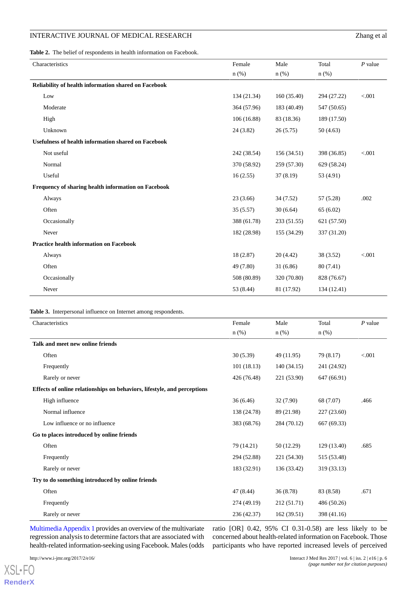<span id="page-5-0"></span>**Table 2.** The belief of respondents in health information on Facebook.

| Characteristics                                            | Female      | Male        | Total       | $P$ value |
|------------------------------------------------------------|-------------|-------------|-------------|-----------|
|                                                            | $n$ (%)     | $n$ (%)     | $n$ $(\%)$  |           |
| Reliability of health information shared on Facebook       |             |             |             |           |
| Low                                                        | 134 (21.34) | 160(35.40)  | 294 (27.22) | < 0.001   |
| Moderate                                                   | 364 (57.96) | 183 (40.49) | 547 (50.65) |           |
| High                                                       | 106 (16.88) | 83 (18.36)  | 189 (17.50) |           |
| Unknown                                                    | 24(3.82)    | 26(5.75)    | 50(4.63)    |           |
| <b>Usefulness of health information shared on Facebook</b> |             |             |             |           |
| Not useful                                                 | 242 (38.54) | 156 (34.51) | 398 (36.85) | < 0.001   |
| Normal                                                     | 370 (58.92) | 259 (57.30) | 629 (58.24) |           |
| Useful                                                     | 16(2.55)    | 37(8.19)    | 53 (4.91)   |           |
| Frequency of sharing health information on Facebook        |             |             |             |           |
| Always                                                     | 23(3.66)    | 34 (7.52)   | 57 (5.28)   | .002      |
| Often                                                      | 35(5.57)    | 30(6.64)    | 65(6.02)    |           |
| Occasionally                                               | 388 (61.78) | 233 (51.55) | 621 (57.50) |           |
| Never                                                      | 182 (28.98) | 155 (34.29) | 337 (31.20) |           |
| <b>Practice health information on Facebook</b>             |             |             |             |           |
| Always                                                     | 18(2.87)    | 20(4.42)    | 38 (3.52)   | < 0.001   |
| Often                                                      | 49 (7.80)   | 31(6.86)    | 80 (7.41)   |           |
| Occasionally                                               | 508 (80.89) | 320 (70.80) | 828 (76.67) |           |
| Never                                                      | 53 (8.44)   | 81 (17.92)  | 134 (12.41) |           |

#### <span id="page-5-1"></span>**Table 3.** Interpersonal influence on Internet among respondents.

| Characteristics                                                          | Female      | Male        | Total       | $P$ value |
|--------------------------------------------------------------------------|-------------|-------------|-------------|-----------|
|                                                                          | $n$ $(\%)$  | $n$ (%)     | $n$ (%)     |           |
| Talk and meet new online friends                                         |             |             |             |           |
| Often                                                                    | 30(5.39)    | 49 (11.95)  | 79 (8.17)   | < 0.001   |
| Frequently                                                               | 101(18.13)  | 140(34.15)  | 241 (24.92) |           |
| Rarely or never                                                          | 426 (76.48) | 221 (53.90) | 647 (66.91) |           |
| Effects of online relationships on behaviors, lifestyle, and perceptions |             |             |             |           |
| High influence                                                           | 36(6.46)    | 32 (7.90)   | 68 (7.07)   | .466      |
| Normal influence                                                         | 138 (24.78) | 89 (21.98)  | 227 (23.60) |           |
| Low influence or no influence                                            | 383 (68.76) | 284 (70.12) | 667 (69.33) |           |
| Go to places introduced by online friends                                |             |             |             |           |
| Often                                                                    | 79 (14.21)  | 50 (12.29)  | 129 (13.40) | .685      |
| Frequently                                                               | 294 (52.88) | 221 (54.30) | 515 (53.48) |           |
| Rarely or never                                                          | 183 (32.91) | 136 (33.42) | 319 (33.13) |           |
| Try to do something introduced by online friends                         |             |             |             |           |
| Often                                                                    | 47 (8.44)   | 36(8.78)    | 83 (8.58)   | .671      |
| Frequently                                                               | 274 (49.19) | 212 (51.71) | 486 (50.26) |           |
| Rarely or never                                                          | 236 (42.37) | 162(39.51)  | 398 (41.16) |           |

[Multimedia Appendix 1](#page-7-0) provides an overview of the multivariate regression analysis to determine factors that are associated with health-related information-seeking using Facebook. Males (odds

ratio [OR] 0.42, 95% CI 0.31-0.58) are less likely to be concerned about health-related information on Facebook. Those participants who have reported increased levels of perceived

[XSL](http://www.w3.org/Style/XSL)•FO **[RenderX](http://www.renderx.com/)**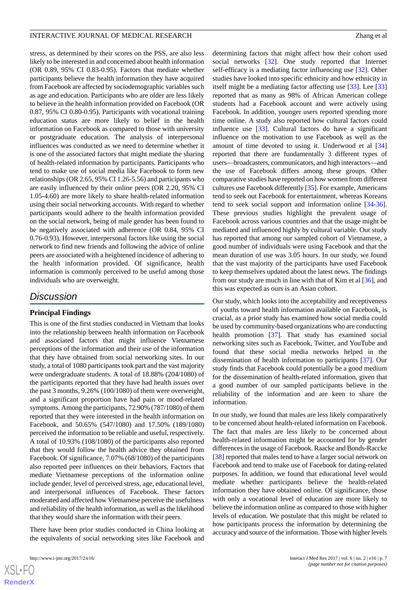stress, as determined by their scores on the PSS, are also less likely to be interested in and concerned about health information (OR 0.89, 95% CI 0.83-0.95). Factors that mediate whether participants believe the health information they have acquired from Facebook are affected by sociodemographic variables such as age and education. Participants who are older are less likely to believe in the health information provided on Facebook (OR 0.87, 95% CI 0.80-0.95). Participants with vocational training education status are more likely to belief in the health information on Facebook as compared to those with university or postgraduate education. The analysis of interpersonal influences was conducted as we need to determine whether it is one of the associated factors that might mediate the sharing of health-related information by participants. Participants who tend to make use of social media like Facebook to form new relationships (OR 2.65, 95% CI 1.26-5.56) and participants who are easily influenced by their online peers (OR 2.20, 95% CI 1.05-4.60) are more likely to share health-related information using their social networking accounts. With regard to whether participants would adhere to the health information provided on the social network, being of male gender has been found to be negatively associated with adherence (OR 0.84, 95% CI 0.76-0.93). However, interpersonal factors like using the social network to find new friends and following the advice of online peers are associated with a heightened incidence of adhering to the health information provided. Of significance, health information is commonly perceived to be useful among those individuals who are overweight.

# *Discussion*

#### **Principal Findings**

This is one of the first studies conducted in Vietnam that looks into the relationship between health information on Facebook and associated factors that might influence Vietnamese perceptions of the information and their use of the information that they have obtained from social networking sites. In our study, a total of 1080 participants took part and the vast majority were undergraduate students. A total of 18.88% (204/1080) of the participants reported that they have had health issues over the past 3 months, 9.26% (100/1080) of them were overweight, and a significant proportion have had pain or mood-related symptoms. Among the participants, 72.90% (787/1080) of them reported that they were interested in the health information on Facebook, and 50.65% (547/1080) and 17.50% (189/1080) perceived the information to be reliable and useful, respectively. A total of 10.93% (108/1080) of the participants also reported that they would follow the health advice they obtained from Facebook. Of significance, 7.07% (68/1080) of the participants also reported peer influences on their behaviors. Factors that mediate Vietnamese perceptions of the information online include gender, level of perceived stress, age, educational level, and interpersonal influences of Facebook. These factors moderated and affected how Vietnamese perceive the usefulness and reliability of the health information, as well as the likelihood that they would share the information with their peers.

There have been prior studies conducted in China looking at the equivalents of social networking sites like Facebook and

determining factors that might affect how their cohort used social networks [[32\]](#page-9-5). One study reported that Internet self-efficacy is a mediating factor influencing use [\[32](#page-9-5)]. Other studies have looked into specific ethnicity and how ethnicity in itself might be a mediating factor affecting use [\[33](#page-9-6)]. Lee [\[33](#page-9-6)] reported that as many as 98% of African American college students had a Facebook account and were actively using Facebook. In addition, younger users reported spending more time online. A study also reported how cultural factors could influence use [[33\]](#page-9-6). Cultural factors do have a significant influence on the motivation to use Facebook as well as the amount of time devoted to using it. Underwood et al [\[34](#page-9-7)] reported that there are fundamentally 3 different types of users—broadcasters, communicators, and high interactors—and the use of Facebook differs among these groups. Other comparative studies have reported on how women from different cultures use Facebook differently [[35\]](#page-9-8). For example, Americans tend to seek out Facebook for entertainment, whereas Koreans tend to seek social support and information online [[34-](#page-9-7)[36\]](#page-9-9). These previous studies highlight the prevalent usage of Facebook across various countries and that the usage might be mediated and influenced highly by cultural variable. Our study has reported that among our sampled cohort of Vietnamese, a good number of individuals were using Facebook and that the mean duration of use was 3.05 hours. In our study, we found that the vast majority of the participants have used Facebook to keep themselves updated about the latest news. The findings from our study are much in line with that of Kim et al [\[36](#page-9-9)], and this was expected as ours is an Asian cohort.

Our study, which looks into the acceptability and receptiveness of youths toward health information available on Facebook, is crucial, as a prior study has examined how social media could be used by community-based organizations who are conducting health promotion [[37\]](#page-9-10). That study has examined social networking sites such as Facebook, Twitter, and YouTube and found that these social media networks helped in the dissemination of health information to participants [[37\]](#page-9-10). Our study finds that Facebook could potentially be a good medium for the dissemination of health-related information, given that a good number of our sampled participants believe in the reliability of the information and are keen to share the information.

In our study, we found that males are less likely comparatively to be concerned about health-related information on Facebook. The fact that males are less likely to be concerned about health-related information might be accounted for by gender differences in the usage of Facebook. Raacke and Bonds-Raccke [[38\]](#page-9-11) reported that males tend to have a larger social network on Facebook and tend to make use of Facebook for dating-related purposes. In addition, we found that educational level would mediate whether participants believe the health-related information they have obtained online. Of significance, those with only a vocational level of education are more likely to believe the information online as compared to those with higher levels of education. We postulate that this might be related to how participants process the information by determining the accuracy and source of the information. Those with higher levels

 $XSI - F($ **[RenderX](http://www.renderx.com/)**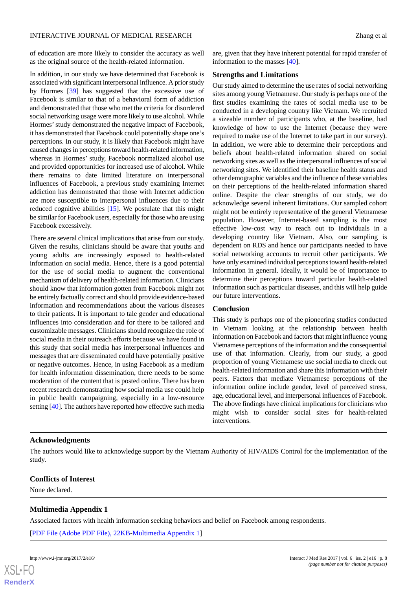of education are more likely to consider the accuracy as well as the original source of the health-related information.

In addition, in our study we have determined that Facebook is associated with significant interpersonal influence. A prior study by Hormes [[39\]](#page-9-12) has suggested that the excessive use of Facebook is similar to that of a behavioral form of addiction and demonstrated that those who met the criteria for disordered social networking usage were more likely to use alcohol. While Hormes'study demonstrated the negative impact of Facebook, it has demonstrated that Facebook could potentially shape one's perceptions. In our study, it is likely that Facebook might have caused changes in perceptions toward health-related information, whereas in Hormes' study, Facebook normalized alcohol use and provided opportunities for increased use of alcohol. While there remains to date limited literature on interpersonal influences of Facebook, a previous study examining Internet addiction has demonstrated that those with Internet addiction are more susceptible to interpersonal influences due to their reduced cognitive abilities [\[15](#page-8-13)]. We postulate that this might be similar for Facebook users, especially for those who are using Facebook excessively.

There are several clinical implications that arise from our study. Given the results, clinicians should be aware that youths and young adults are increasingly exposed to health-related information on social media. Hence, there is a good potential for the use of social media to augment the conventional mechanism of delivery of health-related information. Clinicians should know that information gotten from Facebook might not be entirely factually correct and should provide evidence-based information and recommendations about the various diseases to their patients. It is important to tale gender and educational influences into consideration and for there to be tailored and customizable messages. Clinicians should recognize the role of social media in their outreach efforts because we have found in this study that social media has interpersonal influences and messages that are disseminated could have potentially positive or negative outcomes. Hence, in using Facebook as a medium for health information dissemination, there needs to be some moderation of the content that is posted online. There has been recent research demonstrating how social media use could help in public health campaigning, especially in a low-resource setting [[40\]](#page-9-13). The authors have reported how effective such media

are, given that they have inherent potential for rapid transfer of information to the masses [\[40](#page-9-13)].

# **Strengths and Limitations**

Our study aimed to determine the use rates of social networking sites among young Vietnamese. Our study is perhaps one of the first studies examining the rates of social media use to be conducted in a developing country like Vietnam. We recruited a sizeable number of participants who, at the baseline, had knowledge of how to use the Internet (because they were required to make use of the Internet to take part in our survey). In addition, we were able to determine their perceptions and beliefs about health-related information shared on social networking sites as well as the interpersonal influences of social networking sites. We identified their baseline health status and other demographic variables and the influence of these variables on their perceptions of the health-related information shared online. Despite the clear strengths of our study, we do acknowledge several inherent limitations. Our sampled cohort might not be entirely representative of the general Vietnamese population. However, Internet-based sampling is the most effective low-cost way to reach out to individuals in a developing country like Vietnam. Also, our sampling is dependent on RDS and hence our participants needed to have social networking accounts to recruit other participants. We have only examined individual perceptions toward health-related information in general. Ideally, it would be of importance to determine their perceptions toward particular health-related information such as particular diseases, and this will help guide our future interventions.

#### **Conclusion**

This study is perhaps one of the pioneering studies conducted in Vietnam looking at the relationship between health information on Facebook and factors that might influence young Vietnamese perceptions of the information and the consequential use of that information. Clearly, from our study, a good proportion of young Vietnamese use social media to check out health-related information and share this information with their peers. Factors that mediate Vietnamese perceptions of the information online include gender, level of perceived stress, age, educational level, and interpersonal influences of Facebook. The above findings have clinical implications for clinicians who might wish to consider social sites for health-related interventions.

# **Acknowledgments**

<span id="page-7-0"></span>The authors would like to acknowledge support by the Vietnam Authority of HIV/AIDS Control for the implementation of the study.

# **Conflicts of Interest**

None declared.

### **Multimedia Appendix 1**

Associated factors with health information seeking behaviors and belief on Facebook among respondents.

[[PDF File \(Adobe PDF File\), 22KB-Multimedia Appendix 1](https://jmir.org/api/download?alt_name=ijmr_v6i2e16_app1.pdf&filename=bc8ad0f04ed50360e60342bbb3332d25.pdf)]

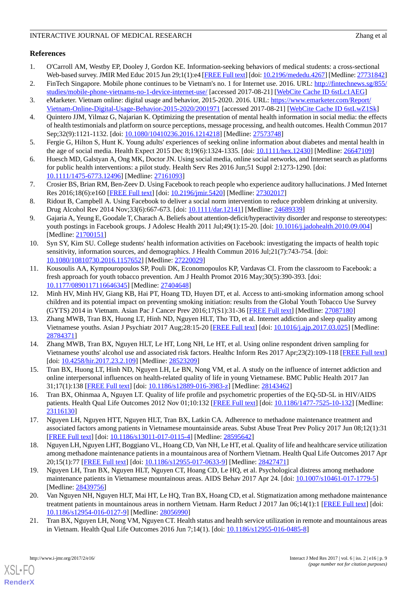# **References**

- <span id="page-8-0"></span>1. O'Carroll AM, Westby EP, Dooley J, Gordon KE. Information-seeking behaviors of medical students: a cross-sectional Web-based survey. JMIR Med Educ 2015 Jun 29;1(1):e4 [[FREE Full text](http://mededu.jmir.org/2015/1/e4/)] [doi: [10.2196/mededu.4267](http://dx.doi.org/10.2196/mededu.4267)] [Medline: [27731842](http://www.ncbi.nlm.nih.gov/entrez/query.fcgi?cmd=Retrieve&db=PubMed&list_uids=27731842&dopt=Abstract)]
- <span id="page-8-2"></span><span id="page-8-1"></span>2. FinTech Singapore. Mobile phone continues to be Vietnam's no. 1 for Internet use. 2016. URL: [http://fintechnews.sg/855/](http://fintechnews.sg/855/studies/mobile-phone-vietnams-no-1-device-internet-use/) [studies/mobile-phone-vietnams-no-1-device-internet-use/](http://fintechnews.sg/855/studies/mobile-phone-vietnams-no-1-device-internet-use/) [accessed 2017-08-21] [\[WebCite Cache ID 6stLc1AEG\]](http://www.webcitation.org/

                                6stLc1AEG)
- <span id="page-8-3"></span>3. eMarketer. Vietnam online: digital usage and behavior, 2015-2020. 2016. URL: [https://www.emarketer.com/Report/](https://www.emarketer.com/Report/Vietnam-Online-Digital-Usage-Behavior-2015-2020/2001971) [Vietnam-Online-Digital-Usage-Behavior-2015-2020/2001971](https://www.emarketer.com/Report/Vietnam-Online-Digital-Usage-Behavior-2015-2020/2001971) [accessed 2017-08-21] [[WebCite Cache ID 6stLwZ1Sk\]](http://www.webcitation.org/

                                6stLwZ1Sk)
- <span id="page-8-4"></span>4. Quintero JJM, Yilmaz G, Najarian K. Optimizing the presentation of mental health information in social media: the effects of health testimonials and platform on source perceptions, message processing, and health outcomes. Health Commun 2017 Sep;32(9):1121-1132. [doi: [10.1080/10410236.2016.1214218\]](http://dx.doi.org/10.1080/10410236.2016.1214218) [Medline: [27573748\]](http://www.ncbi.nlm.nih.gov/entrez/query.fcgi?cmd=Retrieve&db=PubMed&list_uids=27573748&dopt=Abstract)
- <span id="page-8-5"></span>5. Fergie G, Hilton S, Hunt K. Young adults' experiences of seeking online information about diabetes and mental health in the age of social media. Health Expect 2015 Dec 8;19(6):1324-1335. [doi: [10.1111/hex.12430](http://dx.doi.org/10.1111/hex.12430)] [Medline: [26647109](http://www.ncbi.nlm.nih.gov/entrez/query.fcgi?cmd=Retrieve&db=PubMed&list_uids=26647109&dopt=Abstract)]
- <span id="page-8-6"></span>6. Huesch MD, Galstyan A, Ong MK, Doctor JN. Using social media, online social networks, and Internet search as platforms for public health interventions: a pilot study. Health Serv Res 2016 Jun;51 Suppl 2:1273-1290. [doi: [10.1111/1475-6773.12496\]](http://dx.doi.org/10.1111/1475-6773.12496) [Medline: [27161093](http://www.ncbi.nlm.nih.gov/entrez/query.fcgi?cmd=Retrieve&db=PubMed&list_uids=27161093&dopt=Abstract)]
- <span id="page-8-7"></span>7. Crosier BS, Brian RM, Ben-Zeev D. Using Facebook to reach people who experience auditory hallucinations. J Med Internet Res 2016;18(6):e160 [\[FREE Full text\]](http://www.jmir.org/2016/6/e160/) [doi: [10.2196/jmir.5420](http://dx.doi.org/10.2196/jmir.5420)] [Medline: [27302017\]](http://www.ncbi.nlm.nih.gov/entrez/query.fcgi?cmd=Retrieve&db=PubMed&list_uids=27302017&dopt=Abstract)
- <span id="page-8-8"></span>8. Ridout B, Campbell A. Using Facebook to deliver a social norm intervention to reduce problem drinking at university. Drug Alcohol Rev 2014 Nov;33(6):667-673. [doi: [10.1111/dar.12141](http://dx.doi.org/10.1111/dar.12141)] [Medline: [24689339\]](http://www.ncbi.nlm.nih.gov/entrez/query.fcgi?cmd=Retrieve&db=PubMed&list_uids=24689339&dopt=Abstract)
- <span id="page-8-9"></span>9. Gajaria A, Yeung E, Goodale T, Charach A. Beliefs about attention-deficit/hyperactivity disorder and response to stereotypes: youth postings in Facebook groups. J Adolesc Health 2011 Jul;49(1):15-20. [doi: [10.1016/j.jadohealth.2010.09.004](http://dx.doi.org/10.1016/j.jadohealth.2010.09.004)] [Medline: [21700151](http://www.ncbi.nlm.nih.gov/entrez/query.fcgi?cmd=Retrieve&db=PubMed&list_uids=21700151&dopt=Abstract)]
- <span id="page-8-10"></span>10. Syn SY, Kim SU. College students' health information activities on Facebook: investigating the impacts of health topic sensitivity, information sources, and demographics. J Health Commun 2016 Jul;21(7):743-754. [doi: [10.1080/10810730.2016.1157652\]](http://dx.doi.org/10.1080/10810730.2016.1157652) [Medline: [27220029\]](http://www.ncbi.nlm.nih.gov/entrez/query.fcgi?cmd=Retrieve&db=PubMed&list_uids=27220029&dopt=Abstract)
- <span id="page-8-11"></span>11. Kousoulis AA, Kympouropoulos SP, Pouli DK, Economopoulos KP, Vardavas CI. From the classroom to Facebook: a fresh approach for youth tobacco prevention. Am J Health Promot 2016 May;30(5):390-393. [doi: [10.1177/0890117116646345\]](http://dx.doi.org/10.1177/0890117116646345) [Medline: [27404648\]](http://www.ncbi.nlm.nih.gov/entrez/query.fcgi?cmd=Retrieve&db=PubMed&list_uids=27404648&dopt=Abstract)
- <span id="page-8-12"></span>12. Minh HV, Minh HV, Giang KB, Hai PT, Hoang TD, Huyen DT, et al. Access to anti-smoking information among school children and its potential impact on preventing smoking initiation: results from the Global Youth Tobacco Use Survey (GYTS) 2014 in Vietnam. Asian Pac J Cancer Prev 2016;17(S1):31-36 [[FREE Full text](http://journal.waocp.org/?sid=Entrez:PubMed&id=pmid:27087180&key=2016.17.S1.31)] [Medline: [27087180\]](http://www.ncbi.nlm.nih.gov/entrez/query.fcgi?cmd=Retrieve&db=PubMed&list_uids=27087180&dopt=Abstract)
- <span id="page-8-15"></span>13. Zhang MWB, Tran BX, Huong LT, Hinh ND, Nguyen HLT, Tho TD, et al. Internet addiction and sleep quality among Vietnamese youths. Asian J Psychiatr 2017 Aug;28:15-20 [[FREE Full text](http://doi.org/10.1016/j.ajp.2017.03.025)] [doi: [10.1016/j.ajp.2017.03.025\]](http://dx.doi.org/10.1016/j.ajp.2017.03.025) [Medline: [28784371](http://www.ncbi.nlm.nih.gov/entrez/query.fcgi?cmd=Retrieve&db=PubMed&list_uids=28784371&dopt=Abstract)]
- <span id="page-8-14"></span><span id="page-8-13"></span>14. Zhang MWB, Tran BX, Nguyen HLT, Le HT, Long NH, Le HT, et al. Using online respondent driven sampling for Vietnamese youths' alcohol use and associated risk factors. Healthc Inform Res 2017 Apr;23(2):109-118 [\[FREE Full text](http://www.e-hir.org/journal/viewJournal.html?year=2017&vol=023&num=02&page=109)] [doi: [10.4258/hir.2017.23.2.109\]](http://dx.doi.org/10.4258/hir.2017.23.2.109) [Medline: [28523209\]](http://www.ncbi.nlm.nih.gov/entrez/query.fcgi?cmd=Retrieve&db=PubMed&list_uids=28523209&dopt=Abstract)
- <span id="page-8-16"></span>15. Tran BX, Huong LT, Hinh ND, Nguyen LH, Le BN, Nong VM, et al. A study on the influence of internet addiction and online interpersonal influences on health-related quality of life in young Vietnamese. BMC Public Health 2017 Jan 31;17(1):138 [[FREE Full text\]](https://bmcpublichealth.biomedcentral.com/articles/10.1186/s12889-016-3983-z) [doi: [10.1186/s12889-016-3983-z\]](http://dx.doi.org/10.1186/s12889-016-3983-z) [Medline: [28143462\]](http://www.ncbi.nlm.nih.gov/entrez/query.fcgi?cmd=Retrieve&db=PubMed&list_uids=28143462&dopt=Abstract)
- 16. Tran BX, Ohinmaa A, Nguyen LT. Quality of life profile and psychometric properties of the EQ-5D-5L in HIV/AIDS patients. Health Qual Life Outcomes 2012 Nov 01;10:132 [\[FREE Full text\]](https://hqlo.biomedcentral.com/articles/10.1186/1477-7525-10-132) [doi: [10.1186/1477-7525-10-132](http://dx.doi.org/10.1186/1477-7525-10-132)] [Medline: [23116130](http://www.ncbi.nlm.nih.gov/entrez/query.fcgi?cmd=Retrieve&db=PubMed&list_uids=23116130&dopt=Abstract)]
- 17. Nguyen LH, Nguyen HTT, Nguyen HLT, Tran BX, Latkin CA. Adherence to methadone maintenance treatment and associated factors among patients in Vietnamese mountainside areas. Subst Abuse Treat Prev Policy 2017 Jun 08;12(1):31 [[FREE Full text](https://substanceabusepolicy.biomedcentral.com/articles/10.1186/s13011-017-0115-4)] [doi: [10.1186/s13011-017-0115-4\]](http://dx.doi.org/10.1186/s13011-017-0115-4) [Medline: [28595642](http://www.ncbi.nlm.nih.gov/entrez/query.fcgi?cmd=Retrieve&db=PubMed&list_uids=28595642&dopt=Abstract)]
- 18. Nguyen LH, Nguyen LHT, Boggiano VL, Hoang CD, Van NH, Le HT, et al. Quality of life and healthcare service utilization among methadone maintenance patients in a mountainous area of Northern Vietnam. Health Qual Life Outcomes 2017 Apr 20;15(1):77 [[FREE Full text\]](https://hqlo.biomedcentral.com/articles/10.1186/s12955-017-0633-9) [doi: [10.1186/s12955-017-0633-9](http://dx.doi.org/10.1186/s12955-017-0633-9)] [Medline: [28427471](http://www.ncbi.nlm.nih.gov/entrez/query.fcgi?cmd=Retrieve&db=PubMed&list_uids=28427471&dopt=Abstract)]
- <span id="page-8-17"></span>19. Nguyen LH, Tran BX, Nguyen HLT, Nguyen CT, Hoang CD, Le HQ, et al. Psychological distress among methadone maintenance patients in Vietnamese mountainous areas. AIDS Behav 2017 Apr 24. [doi: [10.1007/s10461-017-1779-5](http://dx.doi.org/10.1007/s10461-017-1779-5)] [Medline: [28439756](http://www.ncbi.nlm.nih.gov/entrez/query.fcgi?cmd=Retrieve&db=PubMed&list_uids=28439756&dopt=Abstract)]
- 20. Van Nguyen NH, Nguyen HLT, Mai HT, Le HQ, Tran BX, Hoang CD, et al. Stigmatization among methadone maintenance treatment patients in mountainous areas in northern Vietnam. Harm Reduct J 2017 Jan 06;14(1):1 [\[FREE Full text\]](https://harmreductionjournal.biomedcentral.com/articles/10.1186/s12954-016-0127-9) [doi: [10.1186/s12954-016-0127-9\]](http://dx.doi.org/10.1186/s12954-016-0127-9) [Medline: [28056990](http://www.ncbi.nlm.nih.gov/entrez/query.fcgi?cmd=Retrieve&db=PubMed&list_uids=28056990&dopt=Abstract)]
- 21. Tran BX, Nguyen LH, Nong VM, Nguyen CT. Health status and health service utilization in remote and mountainous areas in Vietnam. Health Qual Life Outcomes 2016 Jun 7;14(1). [doi: [10.1186/s12955-016-0485-8\]](http://dx.doi.org/10.1186/s12955-016-0485-8)

[XSL](http://www.w3.org/Style/XSL)•FO **[RenderX](http://www.renderx.com/)**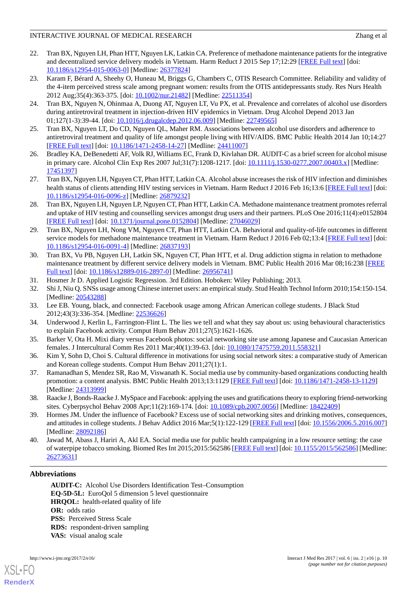- <span id="page-9-0"></span>22. Tran BX, Nguyen LH, Phan HTT, Nguyen LK, Latkin CA. Preference of methadone maintenance patients for the integrative and decentralized service delivery models in Vietnam. Harm Reduct J 2015 Sep 17;12:29 [\[FREE Full text\]](https://harmreductionjournal.biomedcentral.com/articles/10.1186/s12954-015-0063-0) [doi: [10.1186/s12954-015-0063-0\]](http://dx.doi.org/10.1186/s12954-015-0063-0) [Medline: [26377824](http://www.ncbi.nlm.nih.gov/entrez/query.fcgi?cmd=Retrieve&db=PubMed&list_uids=26377824&dopt=Abstract)]
- <span id="page-9-1"></span>23. Karam F, Bérard A, Sheehy O, Huneau M, Briggs G, Chambers C, OTIS Research Committee. Reliability and validity of the 4-item perceived stress scale among pregnant women: results from the OTIS antidepressants study. Res Nurs Health 2012 Aug;35(4):363-375. [doi: [10.1002/nur.21482\]](http://dx.doi.org/10.1002/nur.21482) [Medline: [22511354](http://www.ncbi.nlm.nih.gov/entrez/query.fcgi?cmd=Retrieve&db=PubMed&list_uids=22511354&dopt=Abstract)]
- <span id="page-9-2"></span>24. Tran BX, Nguyen N, Ohinmaa A, Duong AT, Nguyen LT, Vu PX, et al. Prevalence and correlates of alcohol use disorders during antiretroviral treatment in injection-driven HIV epidemics in Vietnam. Drug Alcohol Depend 2013 Jan 01;127(1-3):39-44. [doi: [10.1016/j.drugalcdep.2012.06.009](http://dx.doi.org/10.1016/j.drugalcdep.2012.06.009)] [Medline: [22749565](http://www.ncbi.nlm.nih.gov/entrez/query.fcgi?cmd=Retrieve&db=PubMed&list_uids=22749565&dopt=Abstract)]
- 25. Tran BX, Nguyen LT, Do CD, Nguyen QL, Maher RM. Associations between alcohol use disorders and adherence to antiretroviral treatment and quality of life amongst people living with HIV/AIDS. BMC Public Health 2014 Jan 10;14:27 [[FREE Full text](https://bmcpublichealth.biomedcentral.com/articles/10.1186/1471-2458-14-27)] [doi: [10.1186/1471-2458-14-27\]](http://dx.doi.org/10.1186/1471-2458-14-27) [Medline: [24411007](http://www.ncbi.nlm.nih.gov/entrez/query.fcgi?cmd=Retrieve&db=PubMed&list_uids=24411007&dopt=Abstract)]
- 26. Bradley KA, DeBenedetti AF, Volk RJ, Williams EC, Frank D, Kivlahan DR. AUDIT-C as a brief screen for alcohol misuse in primary care. Alcohol Clin Exp Res 2007 Jul;31(7):1208-1217. [doi: [10.1111/j.1530-0277.2007.00403.x\]](http://dx.doi.org/10.1111/j.1530-0277.2007.00403.x) [Medline: [17451397](http://www.ncbi.nlm.nih.gov/entrez/query.fcgi?cmd=Retrieve&db=PubMed&list_uids=17451397&dopt=Abstract)]
- 27. Tran BX, Nguyen LH, Nguyen CT, Phan HTT, Latkin CA. Alcohol abuse increases the risk of HIV infection and diminishes health status of clients attending HIV testing services in Vietnam. Harm Reduct J 2016 Feb 16;13:6 [\[FREE Full text](https://harmreductionjournal.biomedcentral.com/articles/10.1186/s12954-016-0096-z)] [doi: [10.1186/s12954-016-0096-z](http://dx.doi.org/10.1186/s12954-016-0096-z)] [Medline: [26879232\]](http://www.ncbi.nlm.nih.gov/entrez/query.fcgi?cmd=Retrieve&db=PubMed&list_uids=26879232&dopt=Abstract)
- 28. Tran BX, Nguyen LH, Nguyen LP, Nguyen CT, Phan HTT, Latkin CA. Methadone maintenance treatment promotes referral and uptake of HIV testing and counselling services amongst drug users and their partners. PLoS One 2016;11(4):e0152804 [[FREE Full text](http://dx.plos.org/10.1371/journal.pone.0152804)] [doi: [10.1371/journal.pone.0152804](http://dx.doi.org/10.1371/journal.pone.0152804)] [Medline: [27046029](http://www.ncbi.nlm.nih.gov/entrez/query.fcgi?cmd=Retrieve&db=PubMed&list_uids=27046029&dopt=Abstract)]
- <span id="page-9-3"></span>29. Tran BX, Nguyen LH, Nong VM, Nguyen CT, Phan HTT, Latkin CA. Behavioral and quality-of-life outcomes in different service models for methadone maintenance treatment in Vietnam. Harm Reduct J 2016 Feb 02;13:4 [\[FREE Full text](https://harmreductionjournal.biomedcentral.com/articles/10.1186/s12954-016-0091-4)] [doi: [10.1186/s12954-016-0091-4\]](http://dx.doi.org/10.1186/s12954-016-0091-4) [Medline: [26837193](http://www.ncbi.nlm.nih.gov/entrez/query.fcgi?cmd=Retrieve&db=PubMed&list_uids=26837193&dopt=Abstract)]
- <span id="page-9-5"></span><span id="page-9-4"></span>30. Tran BX, Vu PB, Nguyen LH, Latkin SK, Nguyen CT, Phan HTT, et al. Drug addiction stigma in relation to methadone maintenance treatment by different service delivery models in Vietnam. BMC Public Health 2016 Mar 08;16:238 [\[FREE](https://bmcpublichealth.biomedcentral.com/articles/10.1186/s12889-016-2897-0) [Full text\]](https://bmcpublichealth.biomedcentral.com/articles/10.1186/s12889-016-2897-0) [doi: [10.1186/s12889-016-2897-0](http://dx.doi.org/10.1186/s12889-016-2897-0)] [Medline: [26956741](http://www.ncbi.nlm.nih.gov/entrez/query.fcgi?cmd=Retrieve&db=PubMed&list_uids=26956741&dopt=Abstract)]
- <span id="page-9-6"></span>31. Hosmer Jr D. Applied Logistic Regression. 3rd Edition. Hoboken: Wiley Publishing; 2013.
- <span id="page-9-7"></span>32. Shi J, Niu Q. SNSs usage among Chinese internet users: an empirical study. Stud Health Technol Inform 2010;154:150-154. [Medline: [20543288](http://www.ncbi.nlm.nih.gov/entrez/query.fcgi?cmd=Retrieve&db=PubMed&list_uids=20543288&dopt=Abstract)]
- <span id="page-9-8"></span>33. Lee EB. Young, black, and connected: Facebook usage among African American college students. J Black Stud 2012;43(3):336-354. [Medline: [22536626](http://www.ncbi.nlm.nih.gov/entrez/query.fcgi?cmd=Retrieve&db=PubMed&list_uids=22536626&dopt=Abstract)]
- <span id="page-9-9"></span>34. Underwood J, Kerlin L, Farrington-Flint L. The lies we tell and what they say about us: using behavioural characteristics to explain Facebook activity. Comput Hum Behav 2011;27(5):1621-1626.
- <span id="page-9-10"></span>35. Barker V, Ota H. Mixi diary versus Facebook photos: social networking site use among Japanese and Caucasian American females. J Intercultural Comm Res 2011 Mar;40(1):39-63. [doi: [10.1080/17475759.2011.558321](http://dx.doi.org/10.1080/17475759.2011.558321)]
- <span id="page-9-11"></span>36. Kim Y, Sohn D, Choi S. Cultural difference in motivations for using social network sites: a comparative study of American and Korean college students. Comput Hum Behav 2011;27(1):1.
- <span id="page-9-12"></span>37. Ramanadhan S, Mendez SR, Rao M, Viswanath K. Social media use by community-based organizations conducting health promotion: a content analysis. BMC Public Health 2013;13:1129 [[FREE Full text](http://www.biomedcentral.com/1471-2458/13/1129)] [doi: [10.1186/1471-2458-13-1129\]](http://dx.doi.org/10.1186/1471-2458-13-1129) [Medline: [24313999](http://www.ncbi.nlm.nih.gov/entrez/query.fcgi?cmd=Retrieve&db=PubMed&list_uids=24313999&dopt=Abstract)]
- <span id="page-9-13"></span>38. Raacke J, Bonds-Raacke J. MySpace and Facebook: applying the uses and gratifications theory to exploring friend-networking sites. Cyberpsychol Behav 2008 Apr;11(2):169-174. [doi: [10.1089/cpb.2007.0056](http://dx.doi.org/10.1089/cpb.2007.0056)] [Medline: [18422409](http://www.ncbi.nlm.nih.gov/entrez/query.fcgi?cmd=Retrieve&db=PubMed&list_uids=18422409&dopt=Abstract)]
- 39. Hormes JM. Under the influence of Facebook? Excess use of social networking sites and drinking motives, consequences, and attitudes in college students. J Behav Addict 2016 Mar;5(1):122-129 [\[FREE Full text](http://europepmc.org/abstract/MED/28092186)] [doi: [10.1556/2006.5.2016.007](http://dx.doi.org/10.1556/2006.5.2016.007)] [Medline: [28092186](http://www.ncbi.nlm.nih.gov/entrez/query.fcgi?cmd=Retrieve&db=PubMed&list_uids=28092186&dopt=Abstract)]
- 40. Jawad M, Abass J, Hariri A, Akl EA. Social media use for public health campaigning in a low resource setting: the case of waterpipe tobacco smoking. Biomed Res Int 2015;2015:562586 [\[FREE Full text\]](https://dx.doi.org/10.1155/2015/562586) [doi: [10.1155/2015/562586](http://dx.doi.org/10.1155/2015/562586)] [Medline: [26273631](http://www.ncbi.nlm.nih.gov/entrez/query.fcgi?cmd=Retrieve&db=PubMed&list_uids=26273631&dopt=Abstract)]

# **Abbreviations**

**AUDIT-C:** Alcohol Use Disorders Identification Test–Consumption **EQ-5D-5L:** EuroQol 5 dimension 5 level questionnaire **HRQOL:** health-related quality of life **OR:** odds ratio **PSS: Perceived Stress Scale RDS:** respondent-driven sampling **VAS:** visual analog scale



[XSL](http://www.w3.org/Style/XSL)•FO **[RenderX](http://www.renderx.com/)**